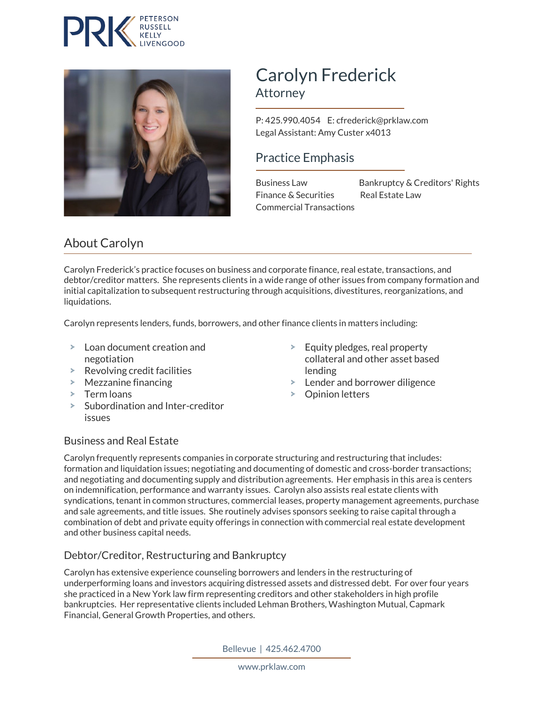



# Carolyn Frederick Attorney

 P: 425.990.4054 E: cfrederick@prklaw.com Legal Assistant: Amy Custer x4013

### Practice Emphasis

Finance & Securities Real Estate Law Commercial Transactions

Business Law Bankruptcy & Creditors' Rights

# About Carolyn

Carolyn Frederick's practice focuses on business and corporate finance, real estate, transactions, and debtor/creditor matters. She represents clients in a wide range of other issues from company formation and initial capitalization to subsequent restructuring through acquisitions, divestitures, reorganizations, and liquidations.

Carolyn represents lenders, funds, borrowers, and other finance clients in matters including:

- Loan document creation and negotiation
- $\blacktriangleright$  Revolving credit facilities
- Mezzanine financing
- $\geq$ Term loans
- > Subordination and Inter-creditor issues
- $\blacktriangleright$  Equity pledges, real property collateral and other asset based lending
- > Lender and borrower diligence
- Opinion letters

#### Business and Real Estate

Carolyn frequently represents companies in corporate structuring and restructuring that includes: formation and liquidation issues; negotiating and documenting of domestic and cross-border transactions; and negotiating and documenting supply and distribution agreements. Her emphasis in this area is centers on indemnification, performance and warranty issues. Carolyn also assists real estate clients with syndications, tenant in common structures, commercial leases, property management agreements, purchase and sale agreements, and title issues. She routinely advises sponsors seeking to raise capital through a combination of debt and private equity offerings in connection with commercial real estate development and other business capital needs.

#### Debtor/Creditor, Restructuring and Bankruptcy

Carolyn has extensive experience counseling borrowers and lenders in the restructuring of underperforming loans and investors acquiring distressed assets and distressed debt. For over four years she practiced in a New York law firm representing creditors and other stakeholders in high profile bankruptcies. Her representative clients included Lehman Brothers, Washington Mutual, Capmark Financial, General Growth Properties, and others.

Bellevue | 425.462.4700